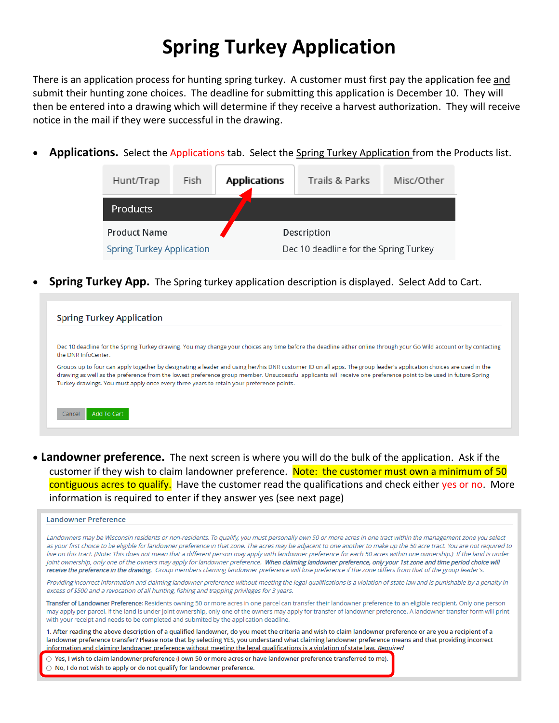## **Spring Turkey Application**

There is an application process for hunting spring turkey. A customer must first pay the application fee and submit their hunting zone choices. The deadline for submitting this application is December 10. They will then be entered into a drawing which will determine if they receive a harvest authorization. They will receive notice in the mail if they were successful in the drawing.

Applications. Select the Applications tab. Select the Spring Turkey Application from the Products list.

| Hunt/Trap                        | Fish | <b>Applications</b> | Trails & Parks                        | Misc/Other |
|----------------------------------|------|---------------------|---------------------------------------|------------|
| <b>Products</b>                  |      |                     |                                       |            |
| <b>Product Name</b>              |      |                     | Description                           |            |
| <b>Spring Turkey Application</b> |      |                     | Dec 10 deadline for the Spring Turkey |            |

**Spring Turkey App.** The Spring turkey application description is displayed. Select Add to Cart.

| <b>Spring Turkey Application</b> |                                                                                                                                                                                                                                                                                                                                                                                                                                    |
|----------------------------------|------------------------------------------------------------------------------------------------------------------------------------------------------------------------------------------------------------------------------------------------------------------------------------------------------------------------------------------------------------------------------------------------------------------------------------|
| the DNR InfoCenter.              | Dec 10 deadline for the Spring Turkey drawing. You may change your choices any time before the deadline either online through your Go Wild account or by contacting                                                                                                                                                                                                                                                                |
|                                  | Groups up to four can apply together by designating a leader and using her/his DNR customer ID on all apps. The group leader's application choices are used in the<br>drawing as well as the preference from the lowest preference group member. Unsuccessful applicants will receive one preference point to be used in future Spring<br>Turkey drawings. You must apply once every three years to retain your preference points. |
| Add To Cart<br>Cancel            |                                                                                                                                                                                                                                                                                                                                                                                                                                    |

• **Landowner preference.** The next screen is where you will do the bulk of the application. Ask if the customer if they wish to claim landowner preference. Note: the customer must own a minimum of 50 contiguous acres to qualify. Have the customer read the qualifications and check either yes or no. More information is required to enter if they answer yes (see next page)

| <b>Landowner Preference</b>                                                                                                                                                                                                                                                                                                                                                                                                                                                                                                                                                                                                                                                                                                                                                                                                                               |
|-----------------------------------------------------------------------------------------------------------------------------------------------------------------------------------------------------------------------------------------------------------------------------------------------------------------------------------------------------------------------------------------------------------------------------------------------------------------------------------------------------------------------------------------------------------------------------------------------------------------------------------------------------------------------------------------------------------------------------------------------------------------------------------------------------------------------------------------------------------|
| Landowners may be Wisconsin residents or non-residents. To qualify, you must personally own 50 or more acres in one tract within the management zone you select<br>as your first choice to be eligible for landowner preference in that zone. The acres may be adjacent to one another to make up the 50 acre tract. You are not required to<br>live on this tract. (Note: This does not mean that a different person may apply with landowner preference for each 50 acres within one ownership.) If the land is under<br>joint ownership, only one of the owners may apply for landowner preference. When claiming landowner preference, only your 1st zone and time period choice will<br>receive the preference in the drawing, Group members claiming landowner preference will lose preference if the zone differs from that of the group leader's. |
| Providing incorrect information and claiming landowner preference without meeting the legal qualifications is a violation of state law and is punishable by a penalty in<br>excess of \$500 and a revocation of all hunting, fishing and trapping privileges for 3 years.                                                                                                                                                                                                                                                                                                                                                                                                                                                                                                                                                                                 |
| Transfer of Landowner Preference: Residents owning 50 or more acres in one parcel can transfer their landowner preference to an eligible recipient. Only one person<br>may apply per parcel. If the land is under joint ownership, only one of the owners may apply for transfer of landowner preference. A landowner transfer form will print<br>with your receipt and needs to be completed and submited by the application deadline.                                                                                                                                                                                                                                                                                                                                                                                                                   |
| 1. After reading the above description of a qualified landowner, do you meet the criteria and wish to claim landowner preference or are you a recipient of a<br>landowner preference transfer? Please note that by selecting YES, you understand what claiming landowner preference means and that providing incorrect<br>information and claiming landowner preference without meeting the legal qualifications is a violation of state law. Required                                                                                                                                                                                                                                                                                                                                                                                                    |
| $\circlearrowright$ Yes, I wish to claim landowner preference (I own 50 or more acres or have landowner preference transferred to me).<br>$\bigcirc$ No, I do not wish to apply or do not qualify for landowner preference.                                                                                                                                                                                                                                                                                                                                                                                                                                                                                                                                                                                                                               |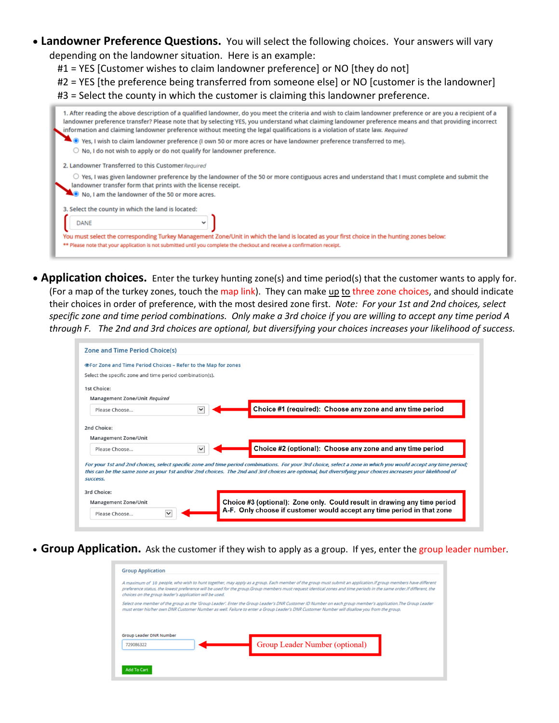- **Landowner Preference Questions.** You will select the following choices. Your answers will vary depending on the landowner situation. Here is an example:
	- #1 = YES [Customer wishes to claim landowner preference] or NO [they do not]
	- #2 = YES [the preference being transferred from someone else] or NO [customer is the landowner]
	- #3 = Select the county in which the customer is claiming this landowner preference.

|                                                                                                                              | 1. After reading the above description of a qualified landowner, do you meet the criteria and wish to claim landowner preference or are you a recipient of a<br>landowner preference transfer? Please note that by selecting YES, you understand what claiming landowner preference means and that providing incorrect<br>information and claiming landowner preference without meeting the legal qualifications is a violation of state law. Required |  |  |  |
|------------------------------------------------------------------------------------------------------------------------------|--------------------------------------------------------------------------------------------------------------------------------------------------------------------------------------------------------------------------------------------------------------------------------------------------------------------------------------------------------------------------------------------------------------------------------------------------------|--|--|--|
| $\bullet$ Yes, I wish to claim landowner preference (I own 50 or more acres or have landowner preference transferred to me). |                                                                                                                                                                                                                                                                                                                                                                                                                                                        |  |  |  |
|                                                                                                                              | $\circlearrowright$ No, I do not wish to apply or do not qualify for landowner preference.                                                                                                                                                                                                                                                                                                                                                             |  |  |  |
| 2. Landowner Transferred to this Customer Required                                                                           |                                                                                                                                                                                                                                                                                                                                                                                                                                                        |  |  |  |
|                                                                                                                              | $\circlearrowright$ Yes, I was given landowner preference by the landowner of the 50 or more contiguous acres and understand that I must complete and submit the<br>landowner transfer form that prints with the license receipt.                                                                                                                                                                                                                      |  |  |  |
| No. I am the landowner of the 50 or more acres.                                                                              |                                                                                                                                                                                                                                                                                                                                                                                                                                                        |  |  |  |
| 3. Select the county in which the land is located:                                                                           |                                                                                                                                                                                                                                                                                                                                                                                                                                                        |  |  |  |
| DANE                                                                                                                         |                                                                                                                                                                                                                                                                                                                                                                                                                                                        |  |  |  |
|                                                                                                                              | You must select the corresponding Turkey Management Zone/Unit in which the land is located as your first choice in the hunting zones below:                                                                                                                                                                                                                                                                                                            |  |  |  |
|                                                                                                                              | ** Please note that your application is not submitted until you complete the checkout and receive a confirmation receipt.                                                                                                                                                                                                                                                                                                                              |  |  |  |
|                                                                                                                              |                                                                                                                                                                                                                                                                                                                                                                                                                                                        |  |  |  |

• **Application choices.** Enter the turkey hunting zone(s) and time period(s) that the customer wants to apply for. (For a map of the turkey zones, touch the map link). They can make up to three zone choices, and should indicate their choices in order of preference, with the most desired zone first. *Note: For your 1st and 2nd choices, select specific zone and time period combinations. Only make a 3rd choice if you are willing to accept any time period A through F. The 2nd and 3rd choices are optional, but diversifying your choices increases your likelihood of success.*

| <b>Zone and Time Period Choice(s)</b>                                 |                                                                                                                                                                                                                                                                                                                              |
|-----------------------------------------------------------------------|------------------------------------------------------------------------------------------------------------------------------------------------------------------------------------------------------------------------------------------------------------------------------------------------------------------------------|
| <b>OFor Zone and Time Period Choices - Refer to the Map for zones</b> |                                                                                                                                                                                                                                                                                                                              |
| Select the specific zone and time period combination(s).              |                                                                                                                                                                                                                                                                                                                              |
| 1st Choice:                                                           |                                                                                                                                                                                                                                                                                                                              |
| Management Zone/Unit Required                                         |                                                                                                                                                                                                                                                                                                                              |
| Please Choose                                                         | Choice #1 (required): Choose any zone and any time period                                                                                                                                                                                                                                                                    |
|                                                                       |                                                                                                                                                                                                                                                                                                                              |
| 2nd Choice:<br><b>Management Zone/Unit</b><br>Please Choose           | Choice #2 (optional): Choose any zone and any time period                                                                                                                                                                                                                                                                    |
| <b>SUCCESS.</b>                                                       | For your 1st and 2nd choices, select specific zone and time period combinations. For your 3rd choice, select a zone in which you would accept any time period;<br>this can be the same zone as your 1st and/or 2nd choices. The 2nd and 3rd choices are optional, but diversifying your choices increases your likelihood of |
|                                                                       |                                                                                                                                                                                                                                                                                                                              |
| 3rd Choice:<br>Management Zone/Unit                                   | Choice #3 (optional): Zone only. Could result in drawing any time period<br>A-F. Only choose if customer would accept any time period in that zone                                                                                                                                                                           |

• **Group Application.** Ask the customer if they wish to apply as a group. If yes, enter the group leader number.

| choices on the group leader's application will be used. | A maximum of 10 people, who wish to hunt together, may apply as a group. Each member of the group must submit an application.If group members have different<br>preference status, the lowest preference will be used for the group. Group members must request identical zones and time periods in the same order. If different, the |  |
|---------------------------------------------------------|---------------------------------------------------------------------------------------------------------------------------------------------------------------------------------------------------------------------------------------------------------------------------------------------------------------------------------------|--|
|                                                         | Select one member of the group as the 'Group Leader'. Enter the Group Leader's DNR Customer ID Number on each group member's application.The Group Leader<br>must enter his/her own DNR Customer Number as well. Failure to enter a Group Leader's DNR Customer Number will disallow you from the group.                              |  |
| <b>Group Leader DNR Number</b><br>729086322             | Group Leader Number (optional)                                                                                                                                                                                                                                                                                                        |  |